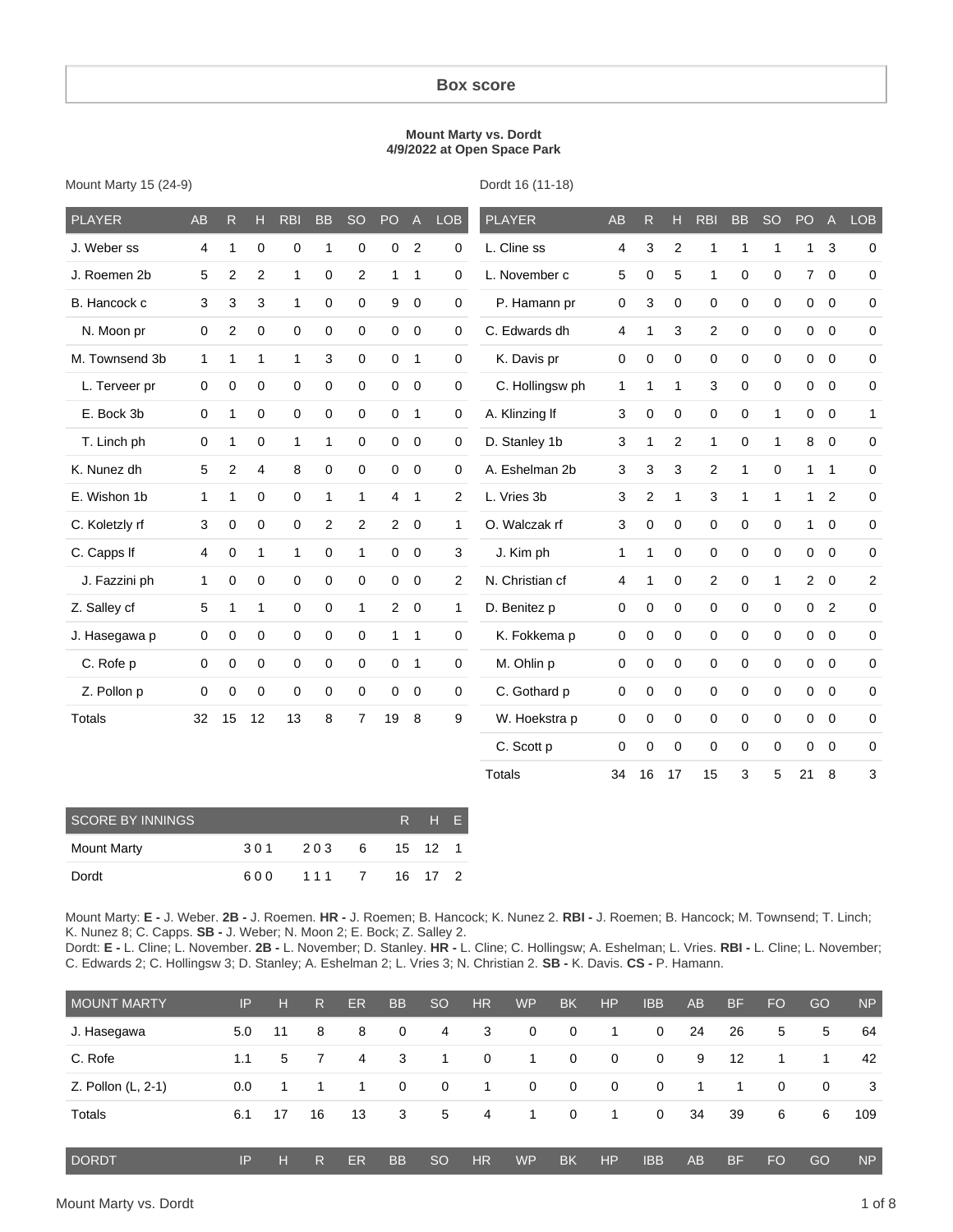#### **Box score**

#### **Mount Marty vs. Dordt 4/9/2022 at Open Space Park**

| Mount Marty 15 (24-9) |  |  |
|-----------------------|--|--|
|-----------------------|--|--|

Dordt 16 (11-18)

| <b>PLAYER</b>  | <b>AB</b>    | R              | н            | <b>RBI</b>   | <b>BB</b>   | <b>SO</b>      | PO             | $\mathsf{A}$ | <b>LOB</b>   | <b>PLAYER</b>   | <b>AB</b>   | R              | н            | <b>RBI</b>     | <b>BB</b>    | <b>SO</b>    | PO             | $\overline{A}$ | <b>LOB</b>     |
|----------------|--------------|----------------|--------------|--------------|-------------|----------------|----------------|--------------|--------------|-----------------|-------------|----------------|--------------|----------------|--------------|--------------|----------------|----------------|----------------|
| J. Weber ss    | 4            | 1              | 0            | $\mathbf 0$  | 1           | 0              | 0              | 2            | 0            | L. Cline ss     | 4           | 3              | 2            | 1              | 1            |              | 1              | 3              | 0              |
| J. Roemen 2b   | 5            | 2              | 2            | $\mathbf{1}$ | 0           | 2              | 1              | 1            | 0            | L. November c   | 5           | $\mathbf 0$    | 5            | $\mathbf{1}$   | 0            | $\mathbf 0$  | $7^{\circ}$    | $\overline{0}$ | 0              |
| B. Hancock c   | 3            | 3              | 3            | $\mathbf{1}$ | 0           | 0              | 9              | $\mathbf 0$  | 0            | P. Hamann pr    | $\mathbf 0$ | 3              | 0            | 0              | 0            | 0            | 0              | $\mathbf 0$    | 0              |
| N. Moon pr     | $\mathbf 0$  | $\mathbf{2}$   | 0            | 0            | 0           | 0              | $\mathbf 0$    | $\mathbf 0$  | 0            | C. Edwards dh   | 4           | 1              | 3            | 2              | $\mathbf 0$  | $\mathbf 0$  | $\mathbf 0$    | $\overline{0}$ | 0              |
| M. Townsend 3b | $\mathbf{1}$ | 1              | $\mathbf{1}$ | $\mathbf{1}$ | 3           | 0              | $\mathbf 0$    | $\mathbf{1}$ | 0            | K. Davis pr     | 0           | $\mathbf 0$    | $\mathbf 0$  | $\mathbf 0$    | $\mathbf 0$  | $\mathbf 0$  | $\mathbf{0}$   | $\overline{0}$ | 0              |
| L. Terveer pr  | $\mathbf 0$  | $\mathbf 0$    | $\mathbf 0$  | $\mathbf 0$  | $\mathbf 0$ | 0              | $\mathbf 0$    | $\mathbf 0$  | 0            | C. Hollingsw ph | 1           | 1              | $\mathbf{1}$ | 3              | $\mathbf 0$  | $\mathbf 0$  | $\mathbf{0}$   | $\mathbf 0$    | 0              |
| E. Bock 3b     | 0            | 1              | $\mathbf 0$  | $\mathbf 0$  | $\mathbf 0$ | 0              | 0              | $\mathbf 1$  | 0            | A. Klinzing If  | 3           | $\Omega$       | 0            | $\mathbf 0$    | 0            | $\mathbf{1}$ | $\mathbf 0$    | $\Omega$       | 1              |
| T. Linch ph    | $\mathbf 0$  | 1              | $\Omega$     | $\mathbf{1}$ | 1           | 0              | 0              | $\mathbf 0$  | 0            | D. Stanley 1b   | 3           | 1              | 2            | $\mathbf{1}$   | $\mathbf 0$  | 1            | 8              | $\mathbf 0$    | $\mathbf 0$    |
| K. Nunez dh    | 5            | $\overline{2}$ | 4            | 8            | 0           | 0              | 0              | $\mathbf 0$  | 0            | A. Eshelman 2b  | 3           | 3              | 3            | $\overline{c}$ | $\mathbf{1}$ | $\Omega$     | $\mathbf{1}$   | $\mathbf 1$    | 0              |
| E. Wishon 1b   | $\mathbf 1$  | 1              | $\mathbf 0$  | 0            | 1           | $\mathbf{1}$   | 4              | 1            | 2            | L. Vries 3b     | 3           | $\overline{c}$ | $\mathbf{1}$ | 3              | $\mathbf{1}$ | $\mathbf{1}$ | $\mathbf{1}$   | 2              | 0              |
| C. Koletzly rf | 3            | 0              | $\mathbf 0$  | $\mathbf 0$  | 2           | 2              | $\overline{2}$ | $\mathbf 0$  | 1            | O. Walczak rf   | 3           | $\mathbf 0$    | 0            | $\mathbf 0$    | $\mathbf 0$  | $\mathbf 0$  | $\mathbf{1}$   | $\mathbf 0$    | 0              |
| C. Capps If    | 4            | 0              | 1            | 1            | $\mathbf 0$ | 1              | 0              | $\mathbf 0$  | 3            | J. Kim ph       | 1           | 1              | 0            | $\mathbf 0$    | $\mathbf 0$  | $\Omega$     | $\mathbf{0}$   | $\overline{0}$ | 0              |
| J. Fazzini ph  | $\mathbf{1}$ | $\mathbf 0$    | $\mathbf 0$  | $\mathbf 0$  | 0           | 0              | 0              | 0            | 2            | N. Christian cf | 4           | 1              | 0            | $\overline{2}$ | 0            | 1            | $\overline{2}$ | $\mathbf 0$    | $\overline{2}$ |
| Z. Salley cf   | 5            | 1              | $\mathbf{1}$ | $\mathbf 0$  | 0           | 1              | $\overline{a}$ | $\mathbf 0$  | $\mathbf{1}$ | D. Benitez p    | $\mathbf 0$ | 0              | 0            | $\mathbf 0$    | $\mathbf 0$  | $\mathbf 0$  | 0              | $\overline{2}$ | 0              |
| J. Hasegawa p  | $\mathbf 0$  | $\pmb{0}$      | 0            | 0            | $\pmb{0}$   | 0              | 1              | $\mathbf{1}$ | 0            | K. Fokkema p    | 0           | $\mathbf 0$    | $\mathbf 0$  | 0              | $\mathbf 0$  | $\mathbf 0$  | $\mathbf 0$    | $\overline{0}$ | 0              |
| C. Rofe p      | $\mathbf 0$  | $\pmb{0}$      | 0            | 0            | $\pmb{0}$   | 0              | 0              | $\mathbf{1}$ | 0            | M. Ohlin p      | 0           | 0              | 0            | 0              | $\mathbf 0$  | $\mathbf 0$  | $\mathbf{0}$   | $\overline{0}$ | 0              |
| Z. Pollon p    | $\mathbf 0$  | $\mathbf 0$    | $\mathbf 0$  | $\mathbf 0$  | 0           | 0              | 0              | $\mathbf 0$  | 0            | C. Gothard p    | 0           | $\mathbf 0$    | 0            | $\mathbf 0$    | $\mathbf 0$  | $\mathbf 0$  | $\mathbf{0}$   | $\overline{0}$ | $\mathbf 0$    |
| <b>Totals</b>  | 32           | 15             | 12           | 13           | 8           | $\overline{7}$ | 19             | 8            | 9            | W. Hoekstra p   | 0           | $\mathbf 0$    | 0            | 0              | $\mathbf 0$  | $\Omega$     | 0              | $\mathbf 0$    | 0              |
|                |              |                |              |              |             |                |                |              |              | C. Scott p      | 0           | $\mathbf 0$    | 0            | $\mathbf 0$    | $\mathbf 0$  | $\mathbf 0$  | $\mathbf 0$    | $\overline{0}$ | 0              |
|                |              |                |              |              |             |                |                |              |              | <b>Totals</b>   | 34          | 16             | 17           | 15             | 3            | 5            | 21             | 8              | 3              |

| <b>SCORE BY INNINGS</b> |     |       |  | R H E   |  |
|-------------------------|-----|-------|--|---------|--|
| Mount Marty             | 301 | 2036  |  | 15 12 1 |  |
| Dordt                   | 600 | 111 7 |  | 16 17 2 |  |

Mount Marty: **E -** J. Weber. **2B -** J. Roemen. **HR -** J. Roemen; B. Hancock; K. Nunez 2. **RBI -** J. Roemen; B. Hancock; M. Townsend; T. Linch; K. Nunez 8; C. Capps. **SB -** J. Weber; N. Moon 2; E. Bock; Z. Salley 2.

Dordt: **E -** L. Cline; L. November. **2B -** L. November; D. Stanley. **HR -** L. Cline; C. Hollingsw; A. Eshelman; L. Vries. **RBI -** L. Cline; L. November; C. Edwards 2; C. Hollingsw 3; D. Stanley; A. Eshelman 2; L. Vries 3; N. Christian 2. **SB -** K. Davis. **CS -** P. Hamann.

| <b>MOUNT MARTY</b> | IP  | н  | R. | <b>ER</b> | <b>BB</b>      | <sub>SO</sub>  | <b>HR</b>      | <b>WP</b>      | <b>BK</b>    | <b>HP</b>    | <b>IBB</b>  | AB | <b>BF</b> | <b>FO</b> | GO | <b>NP</b> |
|--------------------|-----|----|----|-----------|----------------|----------------|----------------|----------------|--------------|--------------|-------------|----|-----------|-----------|----|-----------|
| J. Hasegawa        | 5.0 | 11 | 8  | 8         | $\mathbf 0$    | 4              | 3              | $\mathbf{0}$   | $\mathbf{0}$ | 1            | 0           | 24 | 26        | 5         | 5  | 64        |
| C. Rofe            | 1.1 | 5  |    | 4         | 3              | $\overline{1}$ | $\mathbf 0$    | 1              | 0            | 0            | 0           | 9  | 12        | -1        |    | 42        |
| Z. Pollon (L, 2-1) | 0.0 | 1  |    | 1         | $\overline{0}$ | $\overline{0}$ | $\overline{1}$ | $\overline{0}$ | $\mathbf 0$  | $\mathbf{0}$ | $\mathbf 0$ | 1  | 1         | $\Omega$  | 0  | 3         |
| Totals             | 6.1 | 17 | 16 | 13        | 3              | 5              | 4              | $\overline{1}$ | $\mathbf 0$  | 1            | 0           | 34 | 39        | 6         | 6  | 109       |
| <b>DORDT</b>       | IP  | н  | R  | <b>ER</b> | <b>BB</b>      | <sub>SO</sub>  | <b>HR</b>      | <b>WP</b>      | <b>BK</b>    | HP           | <b>IBB</b>  | AB | <b>BF</b> | <b>FO</b> | GO | <b>NP</b> |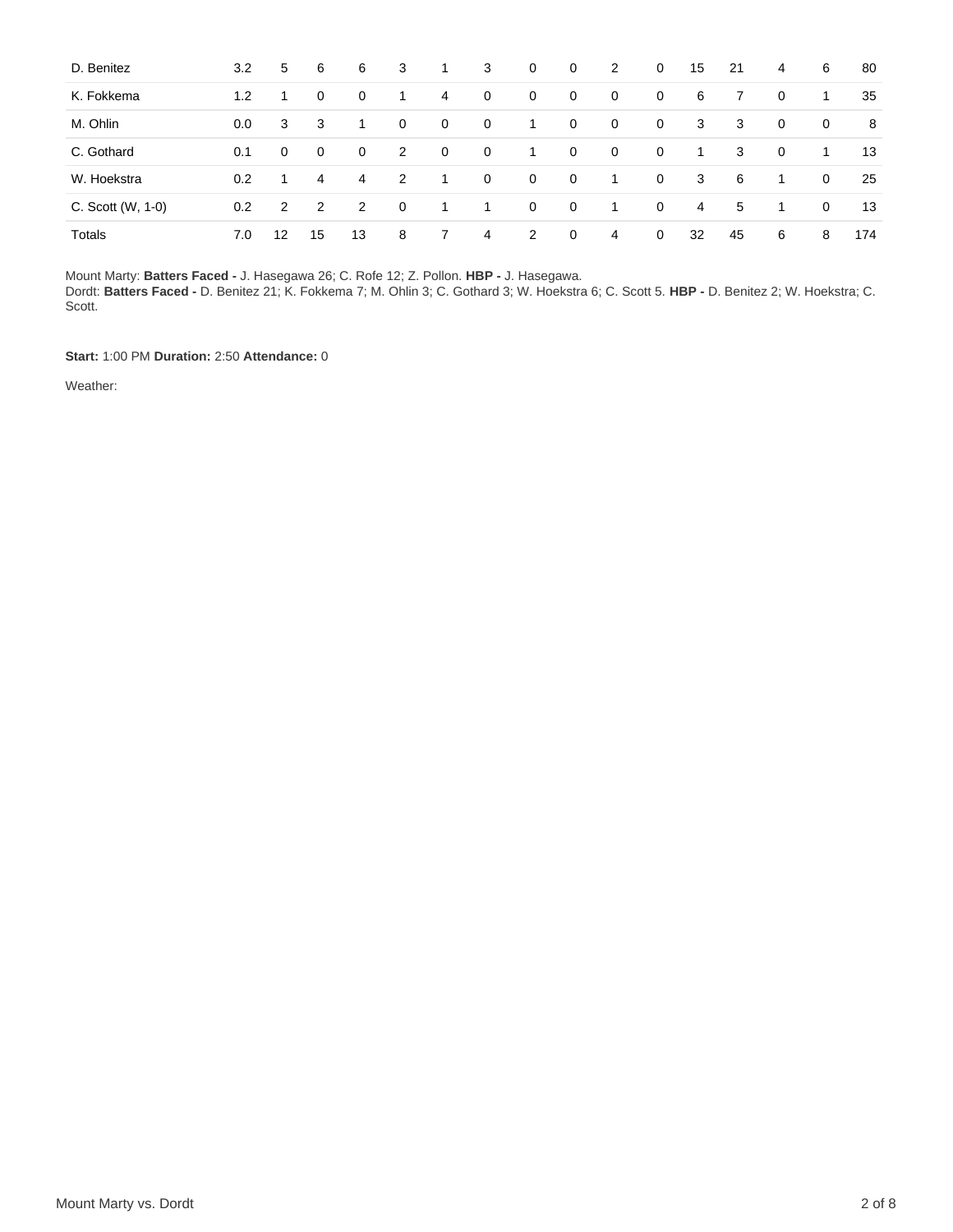| D. Benitez        | 3.2 | 5              | 6        | 6  | 3              | $\mathbf{1}$   | 3           | $\overline{0}$ | $\mathbf 0$    | 2              | 0           | 15             | 21 | $\overline{4}$ | 6            | 80  |
|-------------------|-----|----------------|----------|----|----------------|----------------|-------------|----------------|----------------|----------------|-------------|----------------|----|----------------|--------------|-----|
| K. Fokkema        | 1.2 | 1.             | 0        | 0  |                | 4              | $\mathbf 0$ | 0              | 0              | $\mathbf 0$    | 0           | 6              |    | $\Omega$       | -1           | 35  |
| M. Ohlin          | 0.0 | 3              | 3        | 1  | $\mathbf{0}$   | $\mathbf 0$    | $\mathbf 0$ | 1              | $\mathbf 0$    | $\mathbf 0$    | 0           | 3              | 3  | $\mathbf 0$    | 0            | 8   |
| C. Gothard        | 0.1 | 0              | $\Omega$ | 0  | 2              | $\mathbf 0$    | $\mathbf 0$ | 1              | $\mathbf 0$    | $\mathbf 0$    | 0           | 1              | 3  | 0              | 1            | 13  |
| W. Hoekstra       | 0.2 | 1.             | 4        | 4  | 2              | $\overline{1}$ | $\mathbf 0$ | $\mathbf 0$    | $\mathbf 0$    | 1              | $\mathbf 0$ | 3              | 6  | 1              | $\mathbf{0}$ | 25  |
| C. Scott (W, 1-0) | 0.2 | $\overline{2}$ | 2        | 2  | $\overline{0}$ | 1              | 1           | $\mathbf 0$    | $\mathbf 0$    | 1              | $\mathbf 0$ | $\overline{4}$ | 5  | 1              | 0            | 13  |
| Totals            | 7.0 | 12             | 15       | 13 | 8              | 7              | 4           | 2              | $\overline{0}$ | $\overline{4}$ | $\mathbf 0$ | 32             | 45 | 6              | 8            | 174 |

Mount Marty: **Batters Faced -** J. Hasegawa 26; C. Rofe 12; Z. Pollon. **HBP -** J. Hasegawa.

Dordt: **Batters Faced -** D. Benitez 21; K. Fokkema 7; M. Ohlin 3; C. Gothard 3; W. Hoekstra 6; C. Scott 5. **HBP -** D. Benitez 2; W. Hoekstra; C. Scott.

**Start:** 1:00 PM **Duration:** 2:50 **Attendance:** 0

Weather: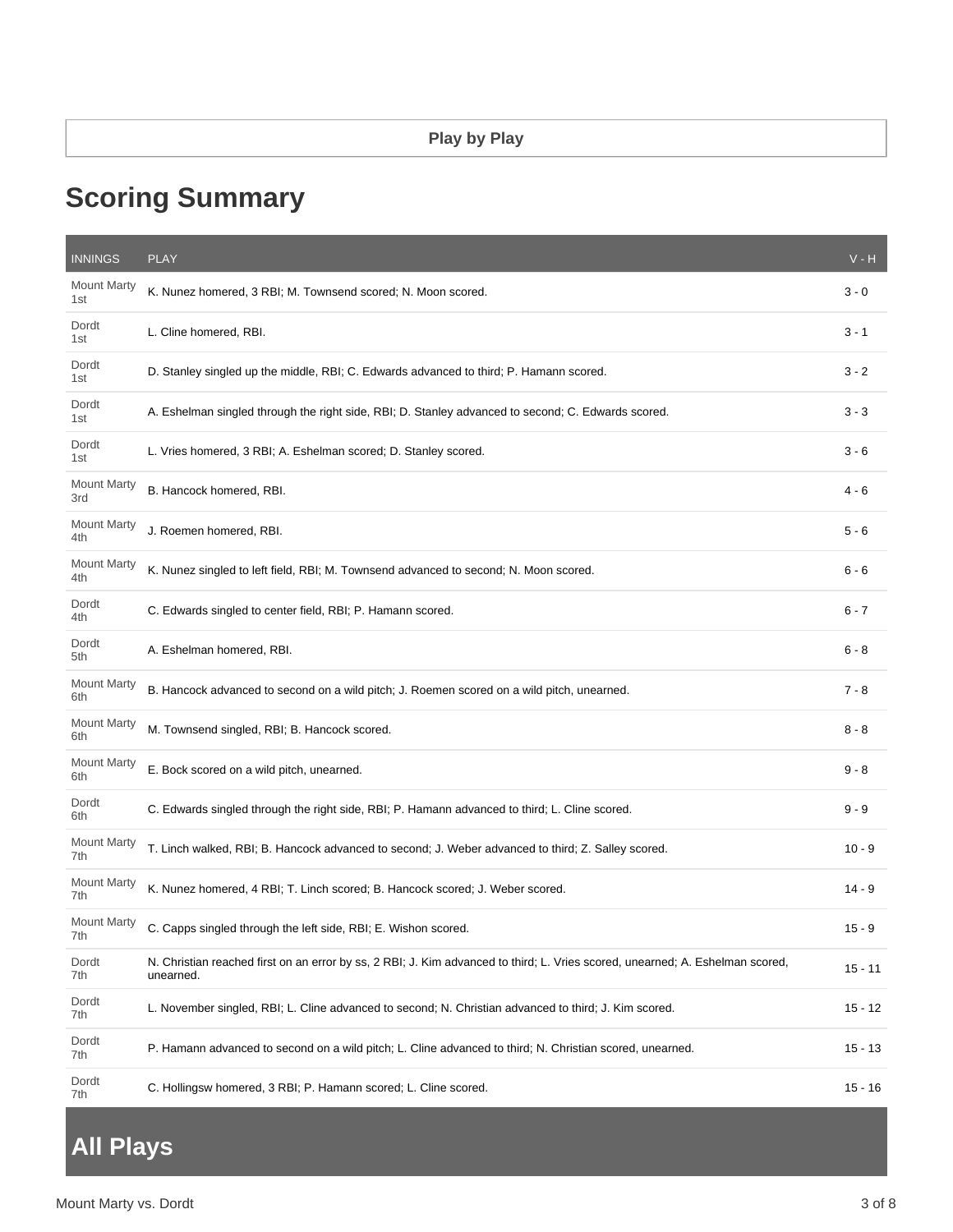# **Scoring Summary**

| <b>INNINGS</b>            | <b>PLAY</b>                                                                                                                                | $V - H$   |
|---------------------------|--------------------------------------------------------------------------------------------------------------------------------------------|-----------|
| <b>Mount Marty</b><br>1st | K. Nunez homered, 3 RBI; M. Townsend scored; N. Moon scored.                                                                               | $3 - 0$   |
| Dordt<br>1st              | L. Cline homered, RBI.                                                                                                                     | $3 - 1$   |
| Dordt<br>1st              | D. Stanley singled up the middle, RBI; C. Edwards advanced to third; P. Hamann scored.                                                     | $3 - 2$   |
| Dordt<br>1st              | A. Eshelman singled through the right side, RBI; D. Stanley advanced to second; C. Edwards scored.                                         | $3 - 3$   |
| Dordt<br>1st              | L. Vries homered, 3 RBI; A. Eshelman scored; D. Stanley scored.                                                                            | $3 - 6$   |
| <b>Mount Marty</b><br>3rd | B. Hancock homered, RBI.                                                                                                                   | 4 - 6     |
| <b>Mount Marty</b><br>4th | J. Roemen homered, RBI.                                                                                                                    | $5 - 6$   |
| <b>Mount Marty</b><br>4th | K. Nunez singled to left field, RBI; M. Townsend advanced to second; N. Moon scored.                                                       | $6 - 6$   |
| Dordt<br>4th              | C. Edwards singled to center field, RBI; P. Hamann scored.                                                                                 | $6 - 7$   |
| Dordt<br>5th              | A. Eshelman homered, RBI.                                                                                                                  | $6 - 8$   |
| <b>Mount Marty</b><br>6th | B. Hancock advanced to second on a wild pitch; J. Roemen scored on a wild pitch, unearned.                                                 | $7 - 8$   |
| Mount Marty<br>6th        | M. Townsend singled, RBI; B. Hancock scored.                                                                                               | $8 - 8$   |
| <b>Mount Marty</b><br>6th | E. Bock scored on a wild pitch, unearned.                                                                                                  | $9 - 8$   |
| Dordt<br>6th              | C. Edwards singled through the right side, RBI; P. Hamann advanced to third; L. Cline scored.                                              | $9 - 9$   |
| <b>Mount Marty</b><br>7th | T. Linch walked, RBI; B. Hancock advanced to second; J. Weber advanced to third; Z. Salley scored.                                         | $10 - 9$  |
| <b>Mount Marty</b><br>7th | K. Nunez homered, 4 RBI; T. Linch scored; B. Hancock scored; J. Weber scored.                                                              | $14 - 9$  |
| <b>Mount Marty</b><br>/th | C. Capps singled through the left side, RBI; E. Wishon scored.                                                                             | $15 - 9$  |
| Dordt<br>7th              | N. Christian reached first on an error by ss, 2 RBI; J. Kim advanced to third; L. Vries scored, unearned; A. Eshelman scored,<br>unearned. | $15 - 11$ |
| Dordt<br>7th              | L. November singled, RBI; L. Cline advanced to second; N. Christian advanced to third; J. Kim scored.                                      | $15 - 12$ |
| Dordt<br>7th              | P. Hamann advanced to second on a wild pitch; L. Cline advanced to third; N. Christian scored, unearned.                                   | $15 - 13$ |
| Dordt<br>7th              | C. Hollingsw homered, 3 RBI; P. Hamann scored; L. Cline scored.                                                                            | $15 - 16$ |

# **All Plays**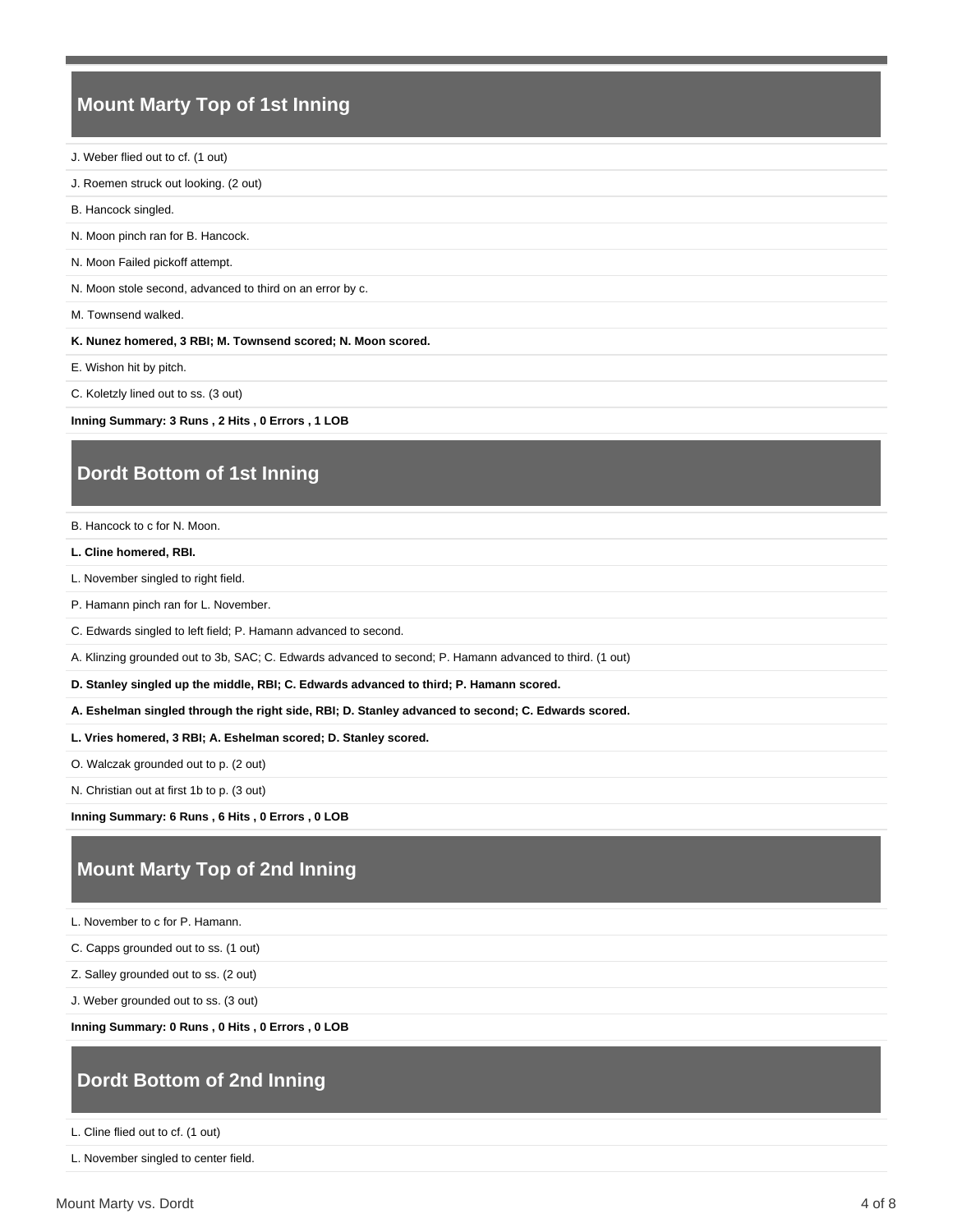## **Mount Marty Top of 1st Inning**

- J. Weber flied out to cf. (1 out)
- J. Roemen struck out looking. (2 out)
- B. Hancock singled.
- N. Moon pinch ran for B. Hancock.
- N. Moon Failed pickoff attempt.

N. Moon stole second, advanced to third on an error by c.

M. Townsend walked.

**K. Nunez homered, 3 RBI; M. Townsend scored; N. Moon scored.**

E. Wishon hit by pitch.

C. Koletzly lined out to ss. (3 out)

**Inning Summary: 3 Runs , 2 Hits , 0 Errors , 1 LOB**

# **Dordt Bottom of 1st Inning**

B. Hancock to c for N. Moon.

**L. Cline homered, RBI.**

L. November singled to right field.

P. Hamann pinch ran for L. November.

C. Edwards singled to left field; P. Hamann advanced to second.

A. Klinzing grounded out to 3b, SAC; C. Edwards advanced to second; P. Hamann advanced to third. (1 out)

**D. Stanley singled up the middle, RBI; C. Edwards advanced to third; P. Hamann scored.**

**A. Eshelman singled through the right side, RBI; D. Stanley advanced to second; C. Edwards scored.**

**L. Vries homered, 3 RBI; A. Eshelman scored; D. Stanley scored.**

O. Walczak grounded out to p. (2 out)

N. Christian out at first 1b to p. (3 out)

**Inning Summary: 6 Runs , 6 Hits , 0 Errors , 0 LOB**

# **Mount Marty Top of 2nd Inning**

L. November to c for P. Hamann.

C. Capps grounded out to ss. (1 out)

Z. Salley grounded out to ss. (2 out)

J. Weber grounded out to ss. (3 out)

**Inning Summary: 0 Runs , 0 Hits , 0 Errors , 0 LOB**

## **Dordt Bottom of 2nd Inning**

L. Cline flied out to cf. (1 out)

L. November singled to center field.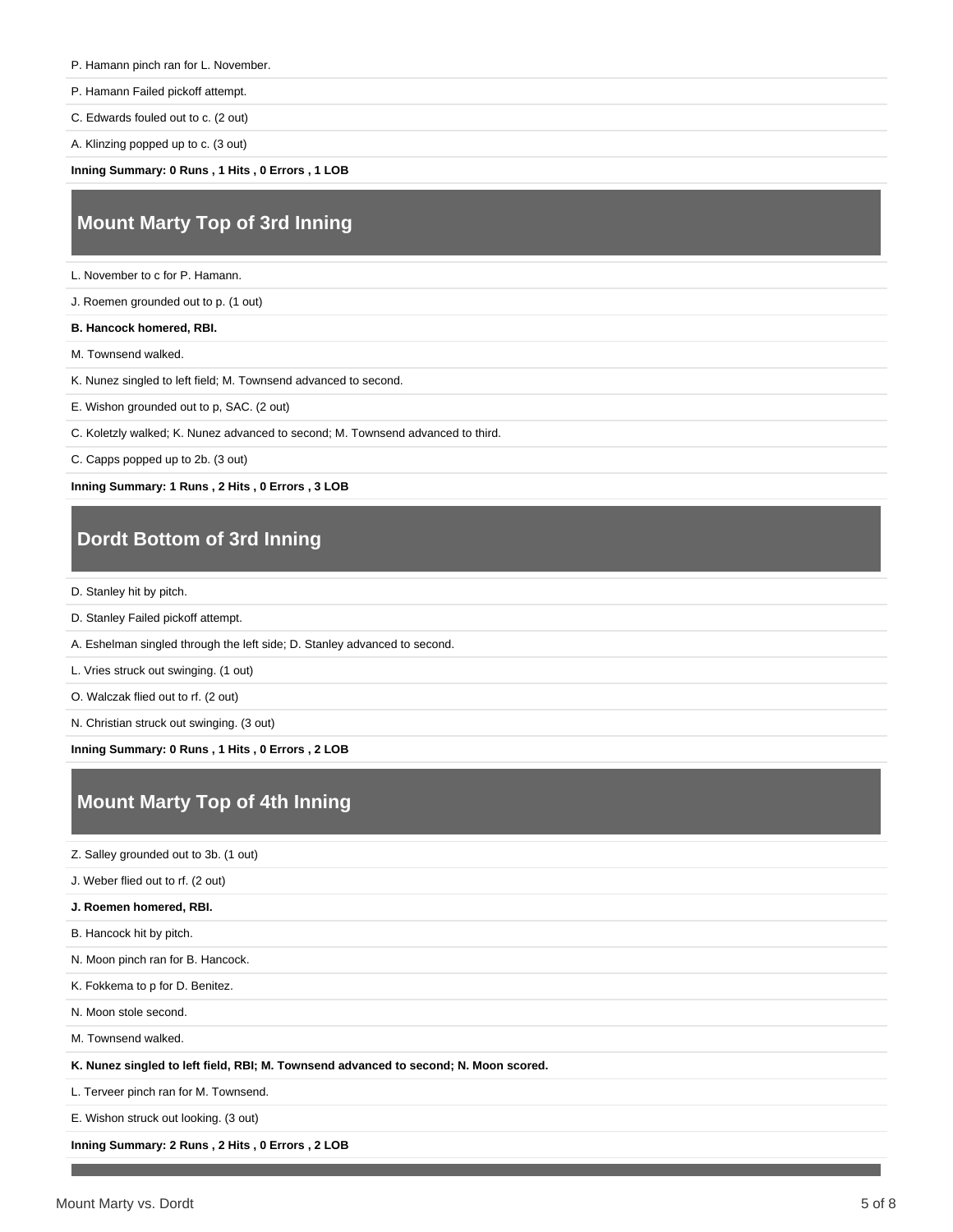#### P. Hamann pinch ran for L. November.

P. Hamann Failed pickoff attempt.

C. Edwards fouled out to c. (2 out)

A. Klinzing popped up to c. (3 out)

**Inning Summary: 0 Runs , 1 Hits , 0 Errors , 1 LOB**

## **Mount Marty Top of 3rd Inning**

L. November to c for P. Hamann.

J. Roemen grounded out to p. (1 out)

**B. Hancock homered, RBI.**

M. Townsend walked.

- K. Nunez singled to left field; M. Townsend advanced to second.
- E. Wishon grounded out to p, SAC. (2 out)
- C. Koletzly walked; K. Nunez advanced to second; M. Townsend advanced to third.
- C. Capps popped up to 2b. (3 out)

**Inning Summary: 1 Runs , 2 Hits , 0 Errors , 3 LOB**

### **Dordt Bottom of 3rd Inning**

- D. Stanley hit by pitch.
- D. Stanley Failed pickoff attempt.
- A. Eshelman singled through the left side; D. Stanley advanced to second.
- L. Vries struck out swinging. (1 out)
- O. Walczak flied out to rf. (2 out)

N. Christian struck out swinging. (3 out)

**Inning Summary: 0 Runs , 1 Hits , 0 Errors , 2 LOB**

# **Mount Marty Top of 4th Inning**

Z. Salley grounded out to 3b. (1 out)

J. Weber flied out to rf. (2 out)

**J. Roemen homered, RBI.**

B. Hancock hit by pitch.

N. Moon pinch ran for B. Hancock.

K. Fokkema to p for D. Benitez.

N. Moon stole second.

M. Townsend walked.

**K. Nunez singled to left field, RBI; M. Townsend advanced to second; N. Moon scored.**

L. Terveer pinch ran for M. Townsend.

E. Wishon struck out looking. (3 out)

**Inning Summary: 2 Runs , 2 Hits , 0 Errors , 2 LOB**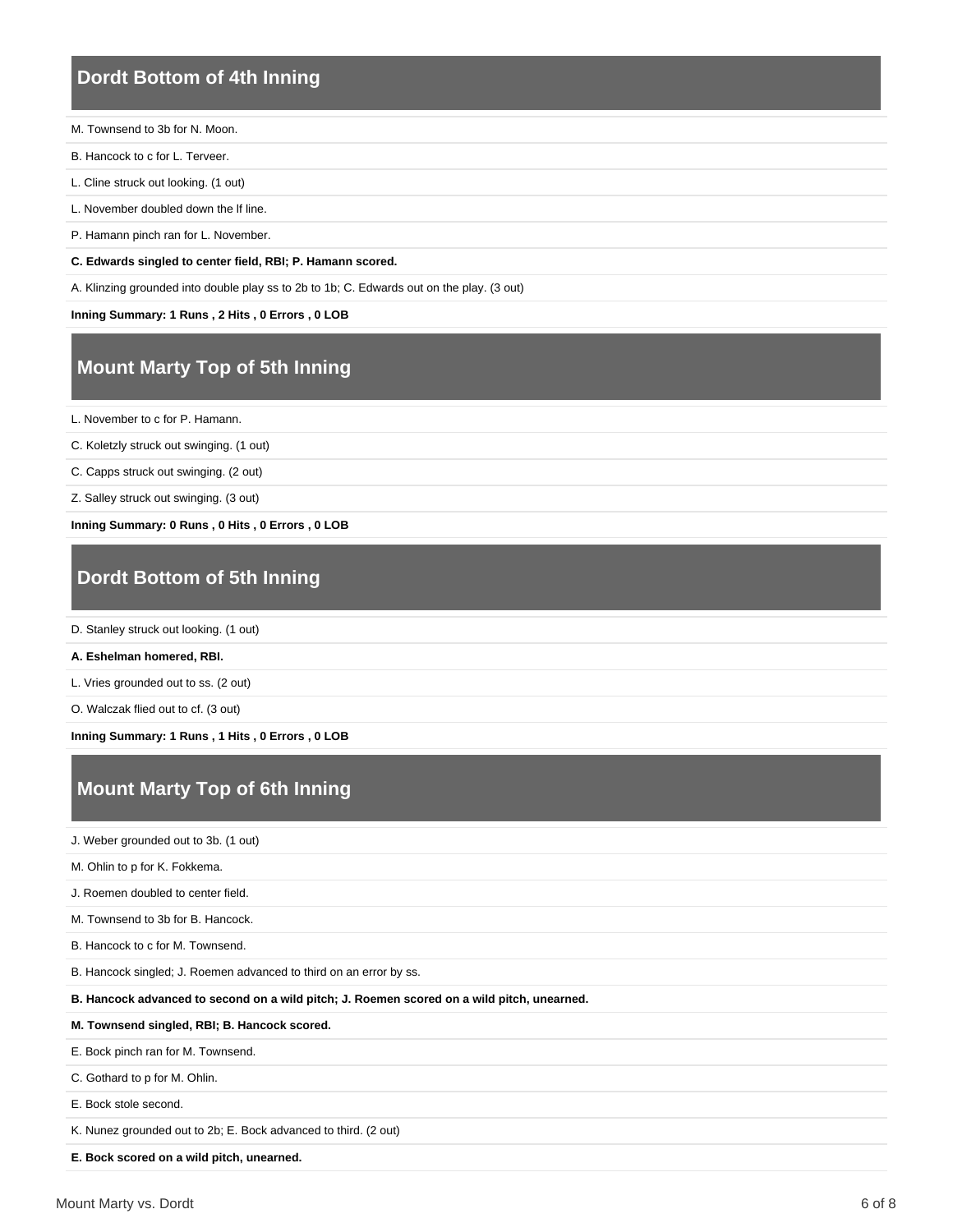#### **Dordt Bottom of 4th Inning**

- M. Townsend to 3b for N. Moon.
- B. Hancock to c for L. Terveer.
- L. Cline struck out looking. (1 out)
- L. November doubled down the lf line.
- P. Hamann pinch ran for L. November.

**C. Edwards singled to center field, RBI; P. Hamann scored.**

A. Klinzing grounded into double play ss to 2b to 1b; C. Edwards out on the play. (3 out)

**Inning Summary: 1 Runs , 2 Hits , 0 Errors , 0 LOB**

# **Mount Marty Top of 5th Inning**

L. November to c for P. Hamann.

C. Koletzly struck out swinging. (1 out)

C. Capps struck out swinging. (2 out)

Z. Salley struck out swinging. (3 out)

**Inning Summary: 0 Runs , 0 Hits , 0 Errors , 0 LOB**

# **Dordt Bottom of 5th Inning**

D. Stanley struck out looking. (1 out)

**A. Eshelman homered, RBI.**

L. Vries grounded out to ss. (2 out)

O. Walczak flied out to cf. (3 out)

**Inning Summary: 1 Runs , 1 Hits , 0 Errors , 0 LOB**

# **Mount Marty Top of 6th Inning**

J. Weber grounded out to 3b. (1 out)

M. Ohlin to p for K. Fokkema.

J. Roemen doubled to center field.

M. Townsend to 3b for B. Hancock.

B. Hancock to c for M. Townsend.

B. Hancock singled; J. Roemen advanced to third on an error by ss.

**B. Hancock advanced to second on a wild pitch; J. Roemen scored on a wild pitch, unearned.**

#### **M. Townsend singled, RBI; B. Hancock scored.**

E. Bock pinch ran for M. Townsend.

C. Gothard to p for M. Ohlin.

E. Bock stole second.

K. Nunez grounded out to 2b; E. Bock advanced to third. (2 out)

**E. Bock scored on a wild pitch, unearned.**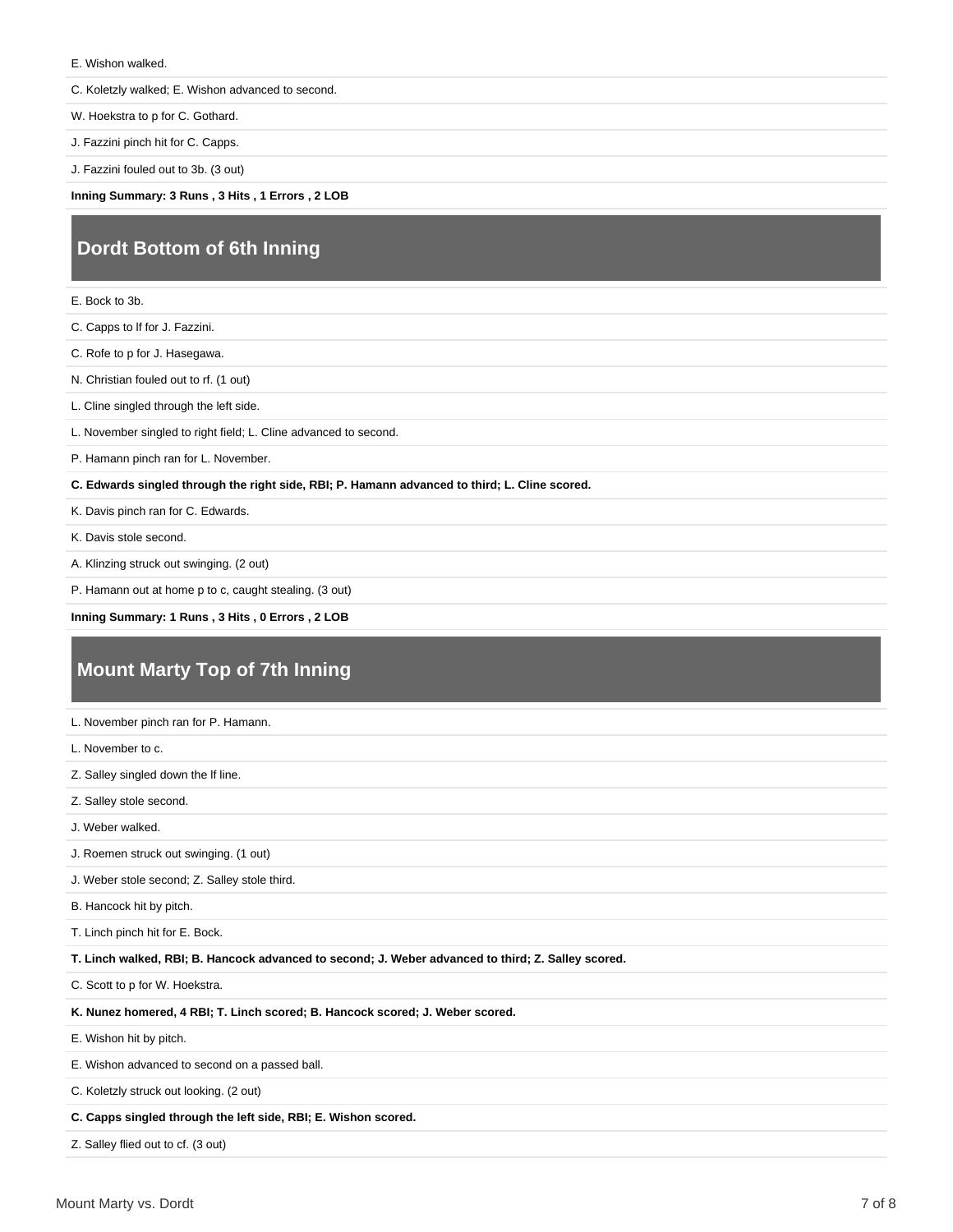E. Wishon walked.

C. Koletzly walked; E. Wishon advanced to second.

W. Hoekstra to p for C. Gothard.

J. Fazzini pinch hit for C. Capps.

J. Fazzini fouled out to 3b. (3 out)

**Inning Summary: 3 Runs , 3 Hits , 1 Errors , 2 LOB**

# **Dordt Bottom of 6th Inning**

E. Bock to 3b.

C. Capps to lf for J. Fazzini.

C. Rofe to p for J. Hasegawa.

N. Christian fouled out to rf. (1 out)

L. Cline singled through the left side.

L. November singled to right field; L. Cline advanced to second.

P. Hamann pinch ran for L. November.

**C. Edwards singled through the right side, RBI; P. Hamann advanced to third; L. Cline scored.**

K. Davis pinch ran for C. Edwards.

K. Davis stole second.

A. Klinzing struck out swinging. (2 out)

P. Hamann out at home p to c, caught stealing. (3 out)

**Inning Summary: 1 Runs , 3 Hits , 0 Errors , 2 LOB**

# **Mount Marty Top of 7th Inning**

| L. November pinch ran for P. Hamann.                                                               |
|----------------------------------------------------------------------------------------------------|
| L. November to c.                                                                                  |
| Z. Salley singled down the If line.                                                                |
| Z. Salley stole second.                                                                            |
| J. Weber walked.                                                                                   |
| J. Roemen struck out swinging. (1 out)                                                             |
| J. Weber stole second; Z. Salley stole third.                                                      |
| B. Hancock hit by pitch.                                                                           |
| T. Linch pinch hit for E. Bock.                                                                    |
| T. Linch walked, RBI; B. Hancock advanced to second; J. Weber advanced to third; Z. Salley scored. |
| C. Scott to p for W. Hoekstra.                                                                     |
| K. Nunez homered, 4 RBI; T. Linch scored; B. Hancock scored; J. Weber scored.                      |
| E. Wishon hit by pitch.                                                                            |
| E. Wishon advanced to second on a passed ball.                                                     |
| C. Koletzly struck out looking. (2 out)                                                            |
| C. Capps singled through the left side, RBI; E. Wishon scored.                                     |

Z. Salley flied out to cf. (3 out)